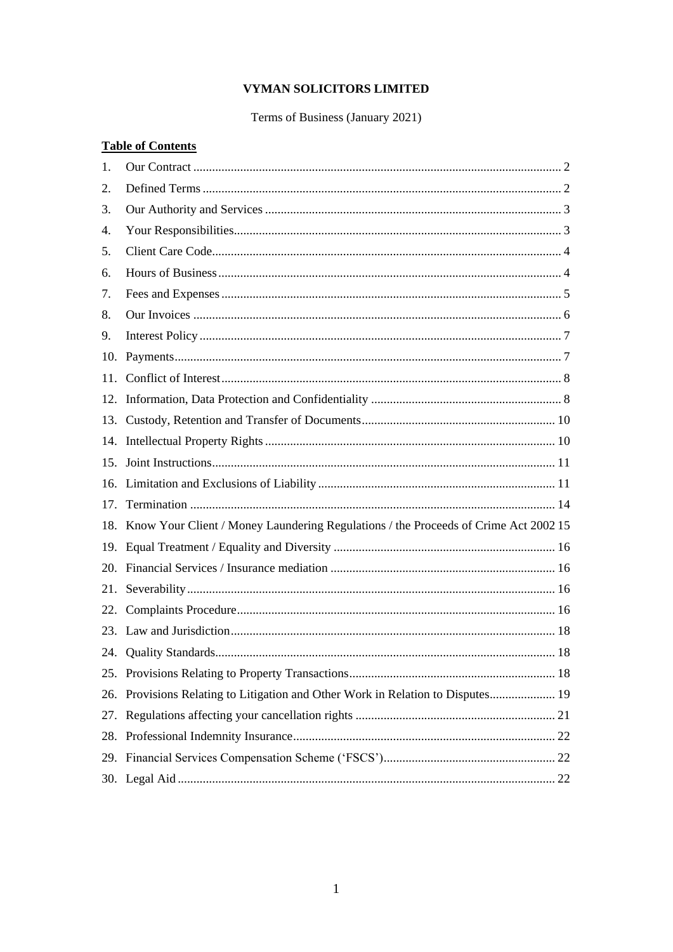# VYMAN SOLICITORS LIMITED

# Terms of Business (January 2021)

# **Table of Contents**

| 1.  |                                                                                         |
|-----|-----------------------------------------------------------------------------------------|
| 2.  |                                                                                         |
| 3.  |                                                                                         |
| 4.  |                                                                                         |
| 5.  |                                                                                         |
| 6.  |                                                                                         |
| 7.  |                                                                                         |
| 8.  |                                                                                         |
| 9.  |                                                                                         |
| 10. |                                                                                         |
| 11. |                                                                                         |
|     |                                                                                         |
|     |                                                                                         |
|     |                                                                                         |
|     |                                                                                         |
|     |                                                                                         |
| 17. |                                                                                         |
|     | 18. Know Your Client / Money Laundering Regulations / the Proceeds of Crime Act 2002 15 |
|     |                                                                                         |
|     |                                                                                         |
| 21. |                                                                                         |
| 22. |                                                                                         |
|     |                                                                                         |
|     |                                                                                         |
|     |                                                                                         |
|     | 26. Provisions Relating to Litigation and Other Work in Relation to Disputes 19         |
|     |                                                                                         |
|     |                                                                                         |
|     |                                                                                         |
|     |                                                                                         |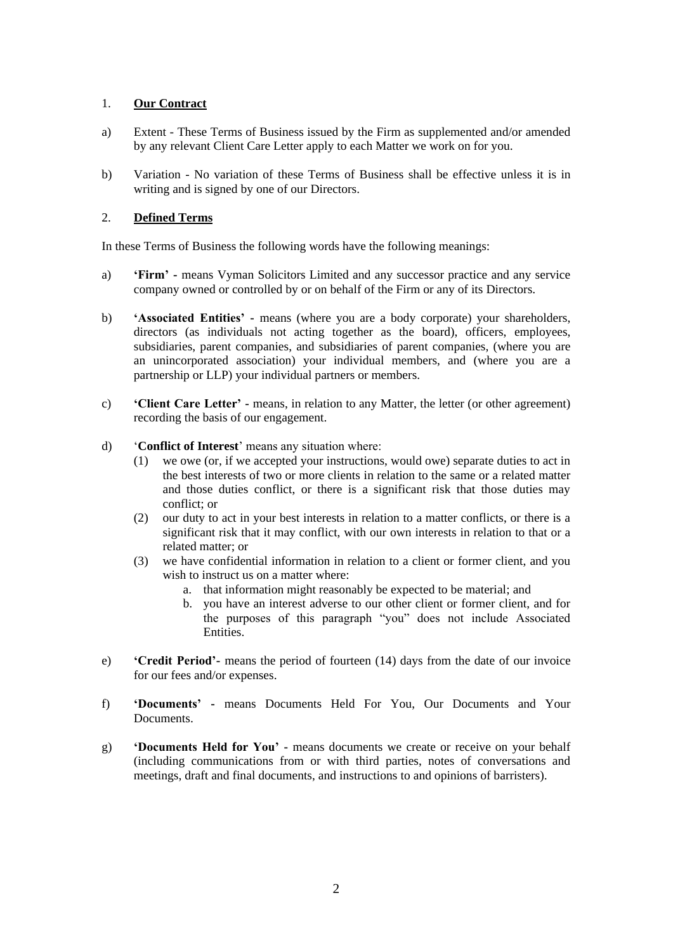# <span id="page-1-0"></span>1. **Our Contract**

- a) Extent These Terms of Business issued by the Firm as supplemented and/or amended by any relevant Client Care Letter apply to each Matter we work on for you.
- b) Variation No variation of these Terms of Business shall be effective unless it is in writing and is signed by one of our Directors.

# <span id="page-1-1"></span>2. **Defined Terms**

In these Terms of Business the following words have the following meanings:

- a) **'Firm' -** means Vyman Solicitors Limited and any successor practice and any service company owned or controlled by or on behalf of the Firm or any of its Directors.
- b) **'Associated Entities' -** means (where you are a body corporate) your shareholders, directors (as individuals not acting together as the board), officers, employees, subsidiaries, parent companies, and subsidiaries of parent companies, (where you are an unincorporated association) your individual members, and (where you are a partnership or LLP) your individual partners or members.
- c) **'Client Care Letter' -** means, in relation to any Matter, the letter (or other agreement) recording the basis of our engagement.
- d) '**Conflict of Interest**' means any situation where:
	- (1) we owe (or, if we accepted your instructions, would owe) separate duties to act in the best interests of two or more clients in relation to the same or a related matter and those duties conflict, or there is a significant risk that those duties may conflict; or
	- (2) our duty to act in your best interests in relation to a matter conflicts, or there is a significant risk that it may conflict, with our own interests in relation to that or a related matter; or
	- (3) we have confidential information in relation to a client or former client, and you wish to instruct us on a matter where:
		- a. that information might reasonably be expected to be material; and
		- b. you have an interest adverse to our other client or former client, and for the purposes of this paragraph "you" does not include Associated **Entities**
- e) **'Credit Period'-** means the period of fourteen (14) days from the date of our invoice for our fees and/or expenses.
- f) **'Documents' -** means Documents Held For You, Our Documents and Your Documents.
- g) **'Documents Held for You' -** means documents we create or receive on your behalf (including communications from or with third parties, notes of conversations and meetings, draft and final documents, and instructions to and opinions of barristers).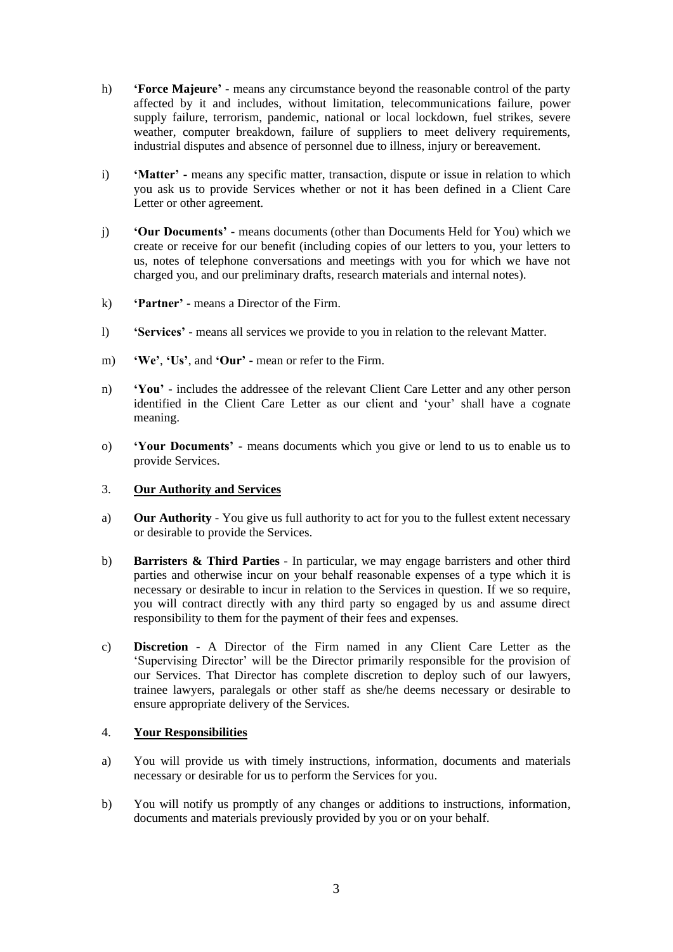- h) **'Force Majeure' -** means any circumstance beyond the reasonable control of the party affected by it and includes, without limitation, telecommunications failure, power supply failure, terrorism, pandemic, national or local lockdown, fuel strikes, severe weather, computer breakdown, failure of suppliers to meet delivery requirements, industrial disputes and absence of personnel due to illness, injury or bereavement.
- i) **'Matter' -** means any specific matter, transaction, dispute or issue in relation to which you ask us to provide Services whether or not it has been defined in a Client Care Letter or other agreement.
- j) **'Our Documents' -** means documents (other than Documents Held for You) which we create or receive for our benefit (including copies of our letters to you, your letters to us, notes of telephone conversations and meetings with you for which we have not charged you, and our preliminary drafts, research materials and internal notes).
- k) **'Partner' -** means a Director of the Firm.
- l) **'Services' -** means all services we provide to you in relation to the relevant Matter.
- m) **'We'**, **'Us'**, and **'Our' -** mean or refer to the Firm.
- n) **'You' -** includes the addressee of the relevant Client Care Letter and any other person identified in the Client Care Letter as our client and 'your' shall have a cognate meaning.
- o) **'Your Documents' -** means documents which you give or lend to us to enable us to provide Services.

#### <span id="page-2-0"></span>3. **Our Authority and Services**

- a) **Our Authority** You give us full authority to act for you to the fullest extent necessary or desirable to provide the Services.
- b) **Barristers & Third Parties** In particular, we may engage barristers and other third parties and otherwise incur on your behalf reasonable expenses of a type which it is necessary or desirable to incur in relation to the Services in question. If we so require, you will contract directly with any third party so engaged by us and assume direct responsibility to them for the payment of their fees and expenses.
- c) **Discretion** A Director of the Firm named in any Client Care Letter as the 'Supervising Director' will be the Director primarily responsible for the provision of our Services. That Director has complete discretion to deploy such of our lawyers, trainee lawyers, paralegals or other staff as she/he deems necessary or desirable to ensure appropriate delivery of the Services.

#### <span id="page-2-1"></span>4. **Your Responsibilities**

- a) You will provide us with timely instructions, information, documents and materials necessary or desirable for us to perform the Services for you.
- b) You will notify us promptly of any changes or additions to instructions, information, documents and materials previously provided by you or on your behalf.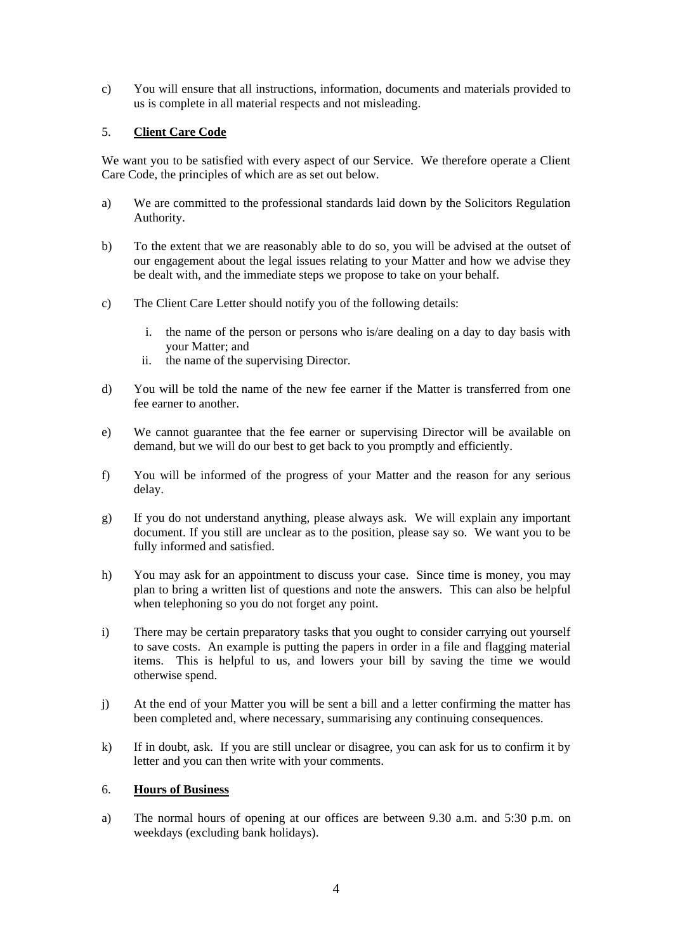c) You will ensure that all instructions, information, documents and materials provided to us is complete in all material respects and not misleading.

# <span id="page-3-0"></span>5. **Client Care Code**

We want you to be satisfied with every aspect of our Service. We therefore operate a Client Care Code, the principles of which are as set out below.

- a) We are committed to the professional standards laid down by the Solicitors Regulation Authority.
- b) To the extent that we are reasonably able to do so, you will be advised at the outset of our engagement about the legal issues relating to your Matter and how we advise they be dealt with, and the immediate steps we propose to take on your behalf.
- c) The Client Care Letter should notify you of the following details:
	- i. the name of the person or persons who is/are dealing on a day to day basis with your Matter; and
	- ii. the name of the supervising Director.
- d) You will be told the name of the new fee earner if the Matter is transferred from one fee earner to another.
- e) We cannot guarantee that the fee earner or supervising Director will be available on demand, but we will do our best to get back to you promptly and efficiently.
- f) You will be informed of the progress of your Matter and the reason for any serious delay.
- g) If you do not understand anything, please always ask. We will explain any important document. If you still are unclear as to the position, please say so. We want you to be fully informed and satisfied.
- h) You may ask for an appointment to discuss your case. Since time is money, you may plan to bring a written list of questions and note the answers. This can also be helpful when telephoning so you do not forget any point.
- i) There may be certain preparatory tasks that you ought to consider carrying out yourself to save costs. An example is putting the papers in order in a file and flagging material items. This is helpful to us, and lowers your bill by saving the time we would otherwise spend.
- j) At the end of your Matter you will be sent a bill and a letter confirming the matter has been completed and, where necessary, summarising any continuing consequences.
- k) If in doubt, ask. If you are still unclear or disagree, you can ask for us to confirm it by letter and you can then write with your comments.

#### <span id="page-3-1"></span>6. **Hours of Business**

a) The normal hours of opening at our offices are between 9.30 a.m. and 5:30 p.m. on weekdays (excluding bank holidays).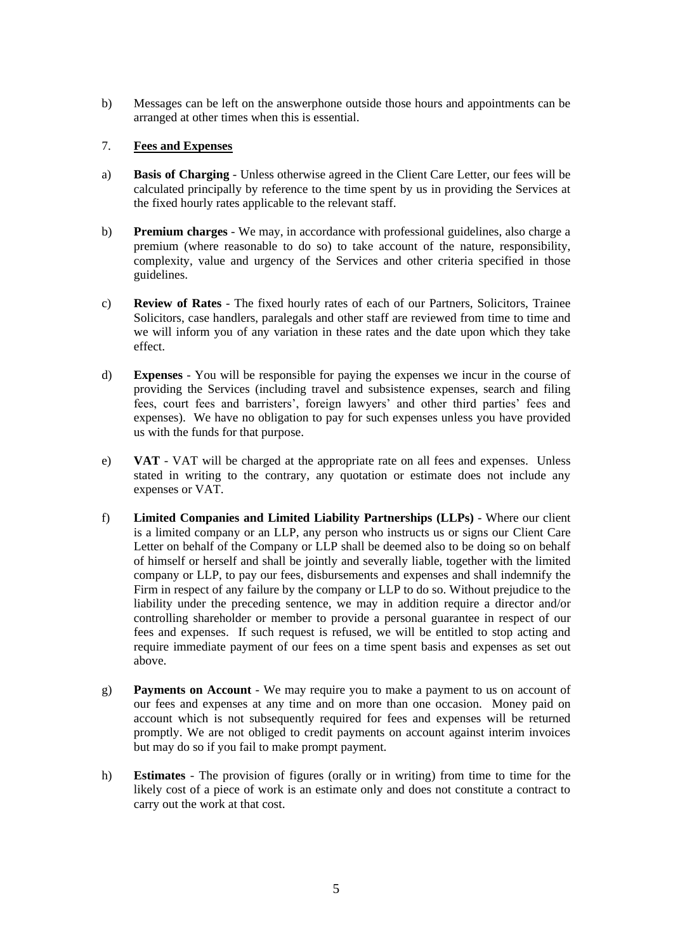b) Messages can be left on the answerphone outside those hours and appointments can be arranged at other times when this is essential.

# <span id="page-4-0"></span>7. **Fees and Expenses**

- a) **Basis of Charging** Unless otherwise agreed in the Client Care Letter, our fees will be calculated principally by reference to the time spent by us in providing the Services at the fixed hourly rates applicable to the relevant staff.
- b) **Premium charges** We may, in accordance with professional guidelines, also charge a premium (where reasonable to do so) to take account of the nature, responsibility, complexity, value and urgency of the Services and other criteria specified in those guidelines.
- c) **Review of Rates** The fixed hourly rates of each of our Partners, Solicitors, Trainee Solicitors, case handlers, paralegals and other staff are reviewed from time to time and we will inform you of any variation in these rates and the date upon which they take effect.
- d) **Expenses** You will be responsible for paying the expenses we incur in the course of providing the Services (including travel and subsistence expenses, search and filing fees, court fees and barristers', foreign lawyers' and other third parties' fees and expenses). We have no obligation to pay for such expenses unless you have provided us with the funds for that purpose.
- e) **VAT** VAT will be charged at the appropriate rate on all fees and expenses. Unless stated in writing to the contrary, any quotation or estimate does not include any expenses or VAT.
- f) **Limited Companies and Limited Liability Partnerships (LLPs)** Where our client is a limited company or an LLP, any person who instructs us or signs our Client Care Letter on behalf of the Company or LLP shall be deemed also to be doing so on behalf of himself or herself and shall be jointly and severally liable, together with the limited company or LLP, to pay our fees, disbursements and expenses and shall indemnify the Firm in respect of any failure by the company or LLP to do so. Without prejudice to the liability under the preceding sentence, we may in addition require a director and/or controlling shareholder or member to provide a personal guarantee in respect of our fees and expenses. If such request is refused, we will be entitled to stop acting and require immediate payment of our fees on a time spent basis and expenses as set out above.
- g) **Payments on Account** We may require you to make a payment to us on account of our fees and expenses at any time and on more than one occasion. Money paid on account which is not subsequently required for fees and expenses will be returned promptly. We are not obliged to credit payments on account against interim invoices but may do so if you fail to make prompt payment.
- h) **Estimates** The provision of figures (orally or in writing) from time to time for the likely cost of a piece of work is an estimate only and does not constitute a contract to carry out the work at that cost.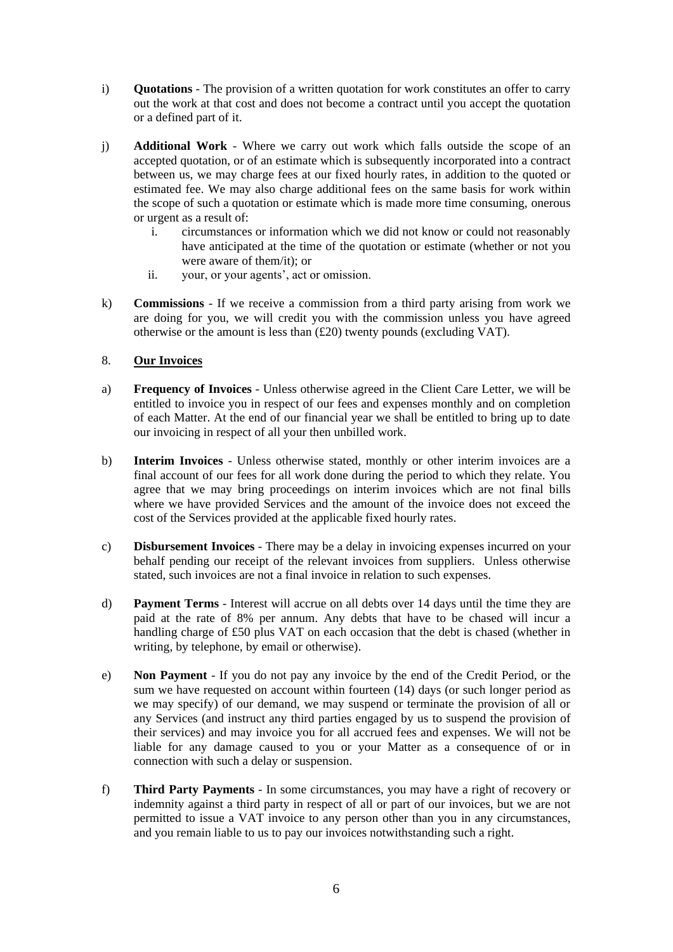- i) **Quotations** The provision of a written quotation for work constitutes an offer to carry out the work at that cost and does not become a contract until you accept the quotation or a defined part of it.
- j) **Additional Work** Where we carry out work which falls outside the scope of an accepted quotation, or of an estimate which is subsequently incorporated into a contract between us, we may charge fees at our fixed hourly rates, in addition to the quoted or estimated fee. We may also charge additional fees on the same basis for work within the scope of such a quotation or estimate which is made more time consuming, onerous or urgent as a result of:
	- i. circumstances or information which we did not know or could not reasonably have anticipated at the time of the quotation or estimate (whether or not you were aware of them/it); or
	- ii. your, or your agents', act or omission.
- k) **Commissions** If we receive a commission from a third party arising from work we are doing for you, we will credit you with the commission unless you have agreed otherwise or the amount is less than (£20) twenty pounds (excluding VAT).

# <span id="page-5-0"></span>8. **Our Invoices**

- a) **Frequency of Invoices** Unless otherwise agreed in the Client Care Letter, we will be entitled to invoice you in respect of our fees and expenses monthly and on completion of each Matter. At the end of our financial year we shall be entitled to bring up to date our invoicing in respect of all your then unbilled work.
- b) **Interim Invoices** Unless otherwise stated, monthly or other interim invoices are a final account of our fees for all work done during the period to which they relate. You agree that we may bring proceedings on interim invoices which are not final bills where we have provided Services and the amount of the invoice does not exceed the cost of the Services provided at the applicable fixed hourly rates.
- c) **Disbursement Invoices** There may be a delay in invoicing expenses incurred on your behalf pending our receipt of the relevant invoices from suppliers. Unless otherwise stated, such invoices are not a final invoice in relation to such expenses.
- d) **Payment Terms** Interest will accrue on all debts over 14 days until the time they are paid at the rate of 8% per annum. Any debts that have to be chased will incur a handling charge of £50 plus VAT on each occasion that the debt is chased (whether in writing, by telephone, by email or otherwise).
- e) **Non Payment** If you do not pay any invoice by the end of the Credit Period, or the sum we have requested on account within fourteen (14) days (or such longer period as we may specify) of our demand, we may suspend or terminate the provision of all or any Services (and instruct any third parties engaged by us to suspend the provision of their services) and may invoice you for all accrued fees and expenses. We will not be liable for any damage caused to you or your Matter as a consequence of or in connection with such a delay or suspension.
- f) **Third Party Payments** In some circumstances, you may have a right of recovery or indemnity against a third party in respect of all or part of our invoices, but we are not permitted to issue a VAT invoice to any person other than you in any circumstances, and you remain liable to us to pay our invoices notwithstanding such a right.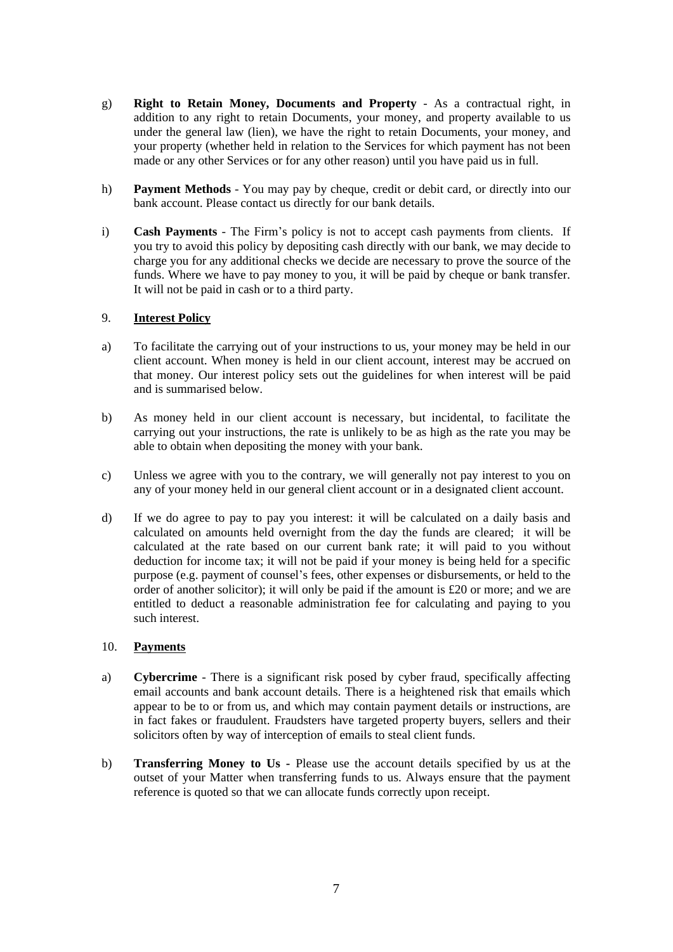- g) **Right to Retain Money, Documents and Property** As a contractual right, in addition to any right to retain Documents, your money, and property available to us under the general law (lien), we have the right to retain Documents, your money, and your property (whether held in relation to the Services for which payment has not been made or any other Services or for any other reason) until you have paid us in full.
- h) **Payment Methods** You may pay by cheque, credit or debit card, or directly into our bank account. Please contact us directly for our bank details.
- i) **Cash Payments** The Firm's policy is not to accept cash payments from clients. If you try to avoid this policy by depositing cash directly with our bank, we may decide to charge you for any additional checks we decide are necessary to prove the source of the funds. Where we have to pay money to you, it will be paid by cheque or bank transfer. It will not be paid in cash or to a third party.

# <span id="page-6-0"></span>9. **Interest Policy**

- a) To facilitate the carrying out of your instructions to us, your money may be held in our client account. When money is held in our client account, interest may be accrued on that money. Our interest policy sets out the guidelines for when interest will be paid and is summarised below.
- b) As money held in our client account is necessary, but incidental, to facilitate the carrying out your instructions, the rate is unlikely to be as high as the rate you may be able to obtain when depositing the money with your bank.
- c) Unless we agree with you to the contrary, we will generally not pay interest to you on any of your money held in our general client account or in a designated client account.
- d) If we do agree to pay to pay you interest: it will be calculated on a daily basis and calculated on amounts held overnight from the day the funds are cleared; it will be calculated at the rate based on our current bank rate; it will paid to you without deduction for income tax; it will not be paid if your money is being held for a specific purpose (e.g. payment of counsel's fees, other expenses or disbursements, or held to the order of another solicitor); it will only be paid if the amount is £20 or more; and we are entitled to deduct a reasonable administration fee for calculating and paying to you such interest.

#### <span id="page-6-1"></span>10. **Payments**

- a) **Cybercrime** There is a significant risk posed by cyber fraud, specifically affecting email accounts and bank account details. There is a heightened risk that emails which appear to be to or from us, and which may contain payment details or instructions, are in fact fakes or fraudulent. Fraudsters have targeted property buyers, sellers and their solicitors often by way of interception of emails to steal client funds.
- b) **Transferring Money to Us -** Please use the account details specified by us at the outset of your Matter when transferring funds to us. Always ensure that the payment reference is quoted so that we can allocate funds correctly upon receipt.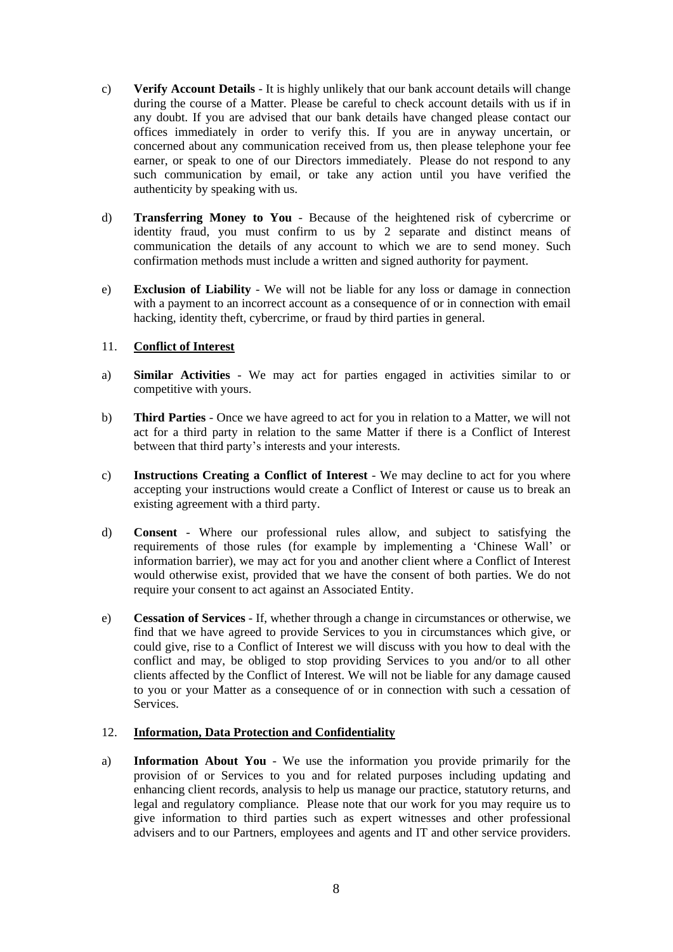- c) **Verify Account Details** It is highly unlikely that our bank account details will change during the course of a Matter. Please be careful to check account details with us if in any doubt. If you are advised that our bank details have changed please contact our offices immediately in order to verify this. If you are in anyway uncertain, or concerned about any communication received from us, then please telephone your fee earner, or speak to one of our Directors immediately. Please do not respond to any such communication by email, or take any action until you have verified the authenticity by speaking with us.
- d) **Transferring Money to You** Because of the heightened risk of cybercrime or identity fraud, you must confirm to us by 2 separate and distinct means of communication the details of any account to which we are to send money. Such confirmation methods must include a written and signed authority for payment.
- e) **Exclusion of Liability** We will not be liable for any loss or damage in connection with a payment to an incorrect account as a consequence of or in connection with email hacking, identity theft, cybercrime, or fraud by third parties in general.

# <span id="page-7-0"></span>11. **Conflict of Interest**

- a) **Similar Activities** We may act for parties engaged in activities similar to or competitive with yours.
- b) **Third Parties** Once we have agreed to act for you in relation to a Matter, we will not act for a third party in relation to the same Matter if there is a Conflict of Interest between that third party's interests and your interests.
- c) **Instructions Creating a Conflict of Interest** We may decline to act for you where accepting your instructions would create a Conflict of Interest or cause us to break an existing agreement with a third party.
- d) **Consent** Where our professional rules allow, and subject to satisfying the requirements of those rules (for example by implementing a 'Chinese Wall' or information barrier), we may act for you and another client where a Conflict of Interest would otherwise exist, provided that we have the consent of both parties. We do not require your consent to act against an Associated Entity.
- e) **Cessation of Services** If, whether through a change in circumstances or otherwise, we find that we have agreed to provide Services to you in circumstances which give, or could give, rise to a Conflict of Interest we will discuss with you how to deal with the conflict and may, be obliged to stop providing Services to you and/or to all other clients affected by the Conflict of Interest. We will not be liable for any damage caused to you or your Matter as a consequence of or in connection with such a cessation of Services.

#### <span id="page-7-1"></span>12. **Information, Data Protection and Confidentiality**

a) **Information About You** - We use the information you provide primarily for the provision of or Services to you and for related purposes including updating and enhancing client records, analysis to help us manage our practice, statutory returns, and legal and regulatory compliance. Please note that our work for you may require us to give information to third parties such as expert witnesses and other professional advisers and to our Partners, employees and agents and IT and other service providers.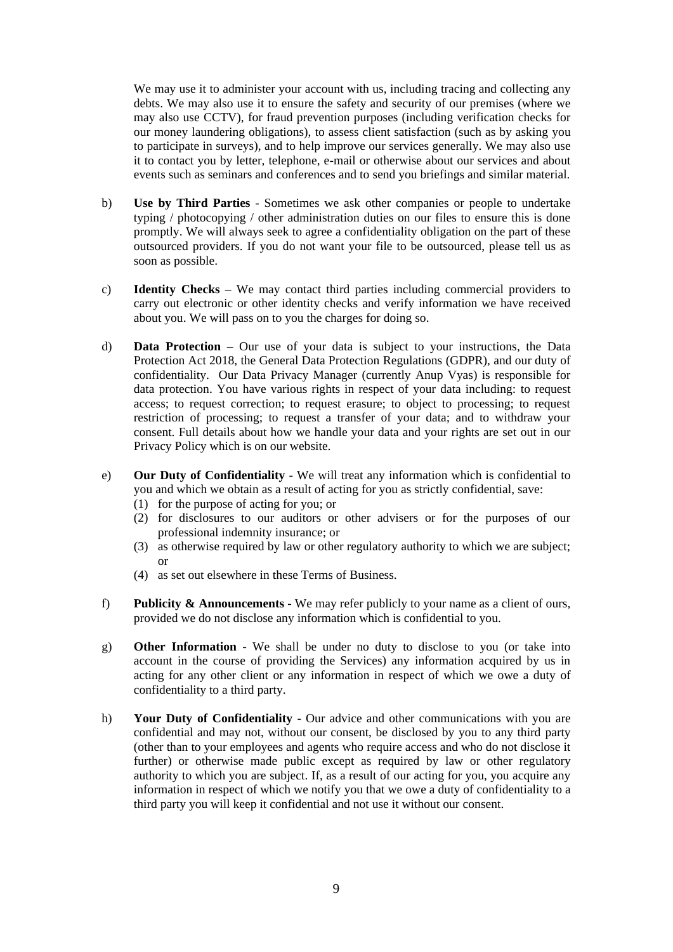We may use it to administer your account with us, including tracing and collecting any debts. We may also use it to ensure the safety and security of our premises (where we may also use CCTV), for fraud prevention purposes (including verification checks for our money laundering obligations), to assess client satisfaction (such as by asking you to participate in surveys), and to help improve our services generally. We may also use it to contact you by letter, telephone, e-mail or otherwise about our services and about events such as seminars and conferences and to send you briefings and similar material.

- b) **Use by Third Parties** Sometimes we ask other companies or people to undertake typing / photocopying / other administration duties on our files to ensure this is done promptly. We will always seek to agree a confidentiality obligation on the part of these outsourced providers. If you do not want your file to be outsourced, please tell us as soon as possible.
- c) **Identity Checks** We may contact third parties including commercial providers to carry out electronic or other identity checks and verify information we have received about you. We will pass on to you the charges for doing so.
- d) **Data Protection** Our use of your data is subject to your instructions, the Data Protection Act 2018, the General Data Protection Regulations (GDPR), and our duty of confidentiality. Our Data Privacy Manager (currently Anup Vyas) is responsible for data protection. You have various rights in respect of your data including: to request access; to request correction; to request erasure; to object to processing; to request restriction of processing; to request a transfer of your data; and to withdraw your consent. Full details about how we handle your data and your rights are set out in our Privacy Policy which is on our website.
- e) **Our Duty of Confidentiality** We will treat any information which is confidential to you and which we obtain as a result of acting for you as strictly confidential, save:
	- (1) for the purpose of acting for you; or
	- (2) for disclosures to our auditors or other advisers or for the purposes of our professional indemnity insurance; or
	- (3) as otherwise required by law or other regulatory authority to which we are subject; or
	- (4) as set out elsewhere in these Terms of Business.
- f) **Publicity & Announcements** We may refer publicly to your name as a client of ours, provided we do not disclose any information which is confidential to you.
- g) **Other Information** We shall be under no duty to disclose to you (or take into account in the course of providing the Services) any information acquired by us in acting for any other client or any information in respect of which we owe a duty of confidentiality to a third party.
- h) **Your Duty of Confidentiality** Our advice and other communications with you are confidential and may not, without our consent, be disclosed by you to any third party (other than to your employees and agents who require access and who do not disclose it further) or otherwise made public except as required by law or other regulatory authority to which you are subject. If, as a result of our acting for you, you acquire any information in respect of which we notify you that we owe a duty of confidentiality to a third party you will keep it confidential and not use it without our consent.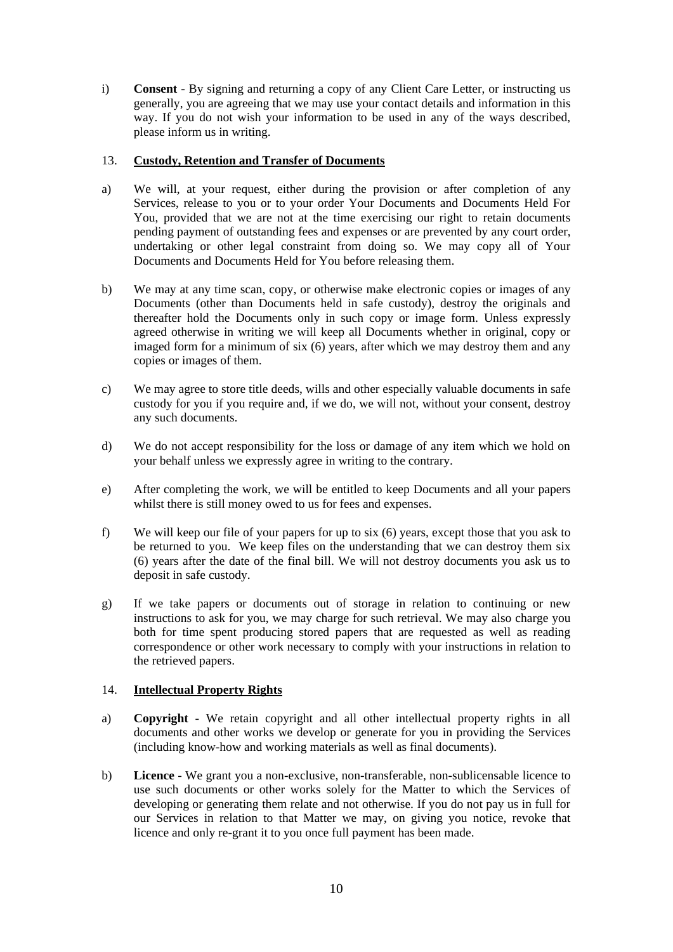i) **Consent** - By signing and returning a copy of any Client Care Letter, or instructing us generally, you are agreeing that we may use your contact details and information in this way. If you do not wish your information to be used in any of the ways described, please inform us in writing.

# <span id="page-9-0"></span>13. **Custody, Retention and Transfer of Documents**

- a) We will, at your request, either during the provision or after completion of any Services, release to you or to your order Your Documents and Documents Held For You, provided that we are not at the time exercising our right to retain documents pending payment of outstanding fees and expenses or are prevented by any court order, undertaking or other legal constraint from doing so. We may copy all of Your Documents and Documents Held for You before releasing them.
- b) We may at any time scan, copy, or otherwise make electronic copies or images of any Documents (other than Documents held in safe custody), destroy the originals and thereafter hold the Documents only in such copy or image form. Unless expressly agreed otherwise in writing we will keep all Documents whether in original, copy or imaged form for a minimum of six (6) years, after which we may destroy them and any copies or images of them.
- c) We may agree to store title deeds, wills and other especially valuable documents in safe custody for you if you require and, if we do, we will not, without your consent, destroy any such documents.
- d) We do not accept responsibility for the loss or damage of any item which we hold on your behalf unless we expressly agree in writing to the contrary.
- e) After completing the work, we will be entitled to keep Documents and all your papers whilst there is still money owed to us for fees and expenses.
- f) We will keep our file of your papers for up to six (6) years, except those that you ask to be returned to you. We keep files on the understanding that we can destroy them six (6) years after the date of the final bill. We will not destroy documents you ask us to deposit in safe custody.
- g) If we take papers or documents out of storage in relation to continuing or new instructions to ask for you, we may charge for such retrieval. We may also charge you both for time spent producing stored papers that are requested as well as reading correspondence or other work necessary to comply with your instructions in relation to the retrieved papers.

#### <span id="page-9-1"></span>14. **Intellectual Property Rights**

- a) **Copyright** We retain copyright and all other intellectual property rights in all documents and other works we develop or generate for you in providing the Services (including know-how and working materials as well as final documents).
- b) **Licence** We grant you a non-exclusive, non-transferable, non-sublicensable licence to use such documents or other works solely for the Matter to which the Services of developing or generating them relate and not otherwise. If you do not pay us in full for our Services in relation to that Matter we may, on giving you notice, revoke that licence and only re-grant it to you once full payment has been made.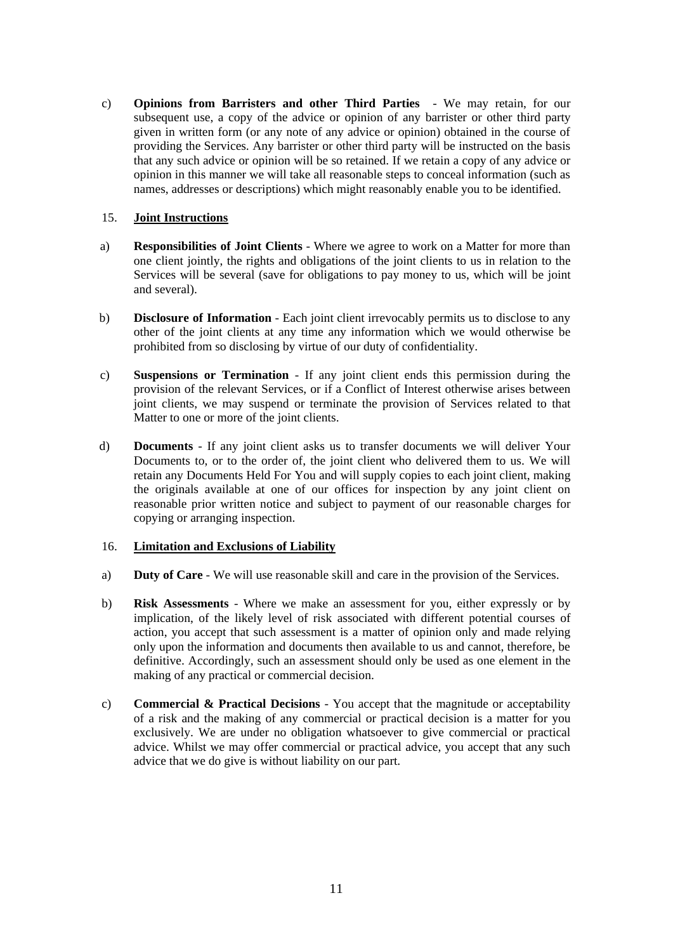c) **Opinions from Barristers and other Third Parties** - We may retain, for our subsequent use, a copy of the advice or opinion of any barrister or other third party given in written form (or any note of any advice or opinion) obtained in the course of providing the Services. Any barrister or other third party will be instructed on the basis that any such advice or opinion will be so retained. If we retain a copy of any advice or opinion in this manner we will take all reasonable steps to conceal information (such as names, addresses or descriptions) which might reasonably enable you to be identified.

# <span id="page-10-0"></span>15. **Joint Instructions**

- a) **Responsibilities of Joint Clients** Where we agree to work on a Matter for more than one client jointly, the rights and obligations of the joint clients to us in relation to the Services will be several (save for obligations to pay money to us, which will be joint and several).
- b) **Disclosure of Information** Each joint client irrevocably permits us to disclose to any other of the joint clients at any time any information which we would otherwise be prohibited from so disclosing by virtue of our duty of confidentiality.
- c) **Suspensions or Termination** If any joint client ends this permission during the provision of the relevant Services, or if a Conflict of Interest otherwise arises between joint clients, we may suspend or terminate the provision of Services related to that Matter to one or more of the joint clients.
- d) **Documents** If any joint client asks us to transfer documents we will deliver Your Documents to, or to the order of, the joint client who delivered them to us. We will retain any Documents Held For You and will supply copies to each joint client, making the originals available at one of our offices for inspection by any joint client on reasonable prior written notice and subject to payment of our reasonable charges for copying or arranging inspection.

#### <span id="page-10-1"></span>16. **Limitation and Exclusions of Liability**

- a) **Duty of Care** We will use reasonable skill and care in the provision of the Services.
- b) **Risk Assessments** Where we make an assessment for you, either expressly or by implication, of the likely level of risk associated with different potential courses of action, you accept that such assessment is a matter of opinion only and made relying only upon the information and documents then available to us and cannot, therefore, be definitive. Accordingly, such an assessment should only be used as one element in the making of any practical or commercial decision.
- c) **Commercial & Practical Decisions** You accept that the magnitude or acceptability of a risk and the making of any commercial or practical decision is a matter for you exclusively. We are under no obligation whatsoever to give commercial or practical advice. Whilst we may offer commercial or practical advice, you accept that any such advice that we do give is without liability on our part.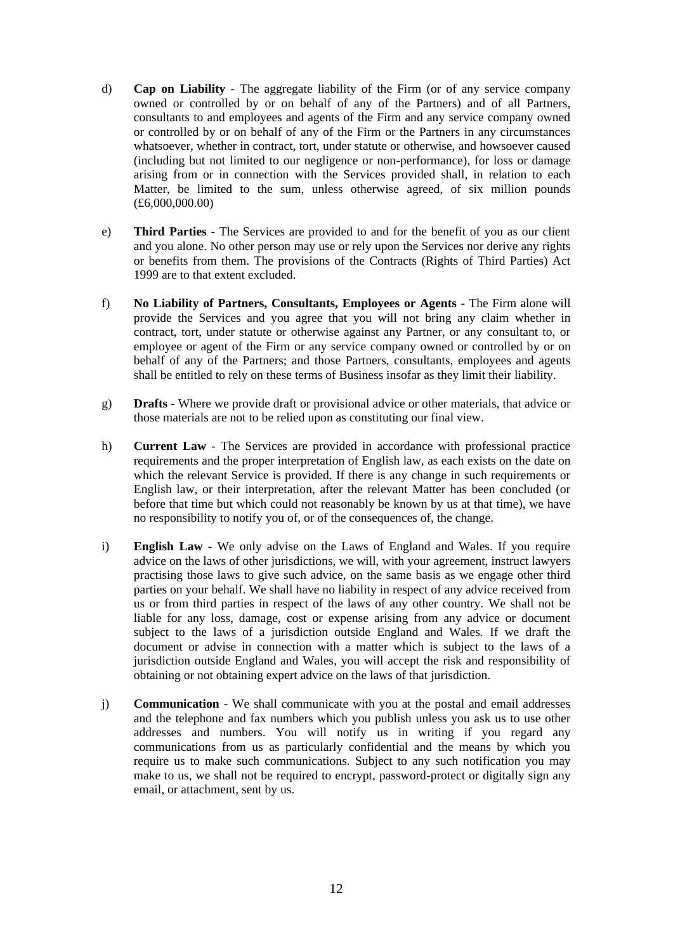- d) **Cap on Liability** The aggregate liability of the Firm (or of any service company owned or controlled by or on behalf of any of the Partners) and of all Partners, consultants to and employees and agents of the Firm and any service company owned or controlled by or on behalf of any of the Firm or the Partners in any circumstances whatsoever, whether in contract, tort, under statute or otherwise, and howsoever caused (including but not limited to our negligence or non-performance), for loss or damage arising from or in connection with the Services provided shall, in relation to each Matter, be limited to the sum, unless otherwise agreed, of six million pounds (£6,000,000.00)
- e) **Third Parties** The Services are provided to and for the benefit of you as our client and you alone. No other person may use or rely upon the Services nor derive any rights or benefits from them. The provisions of the Contracts (Rights of Third Parties) Act 1999 are to that extent excluded.
- f) **No Liability of Partners, Consultants, Employees or Agents** The Firm alone will provide the Services and you agree that you will not bring any claim whether in contract, tort, under statute or otherwise against any Partner, or any consultant to, or employee or agent of the Firm or any service company owned or controlled by or on behalf of any of the Partners; and those Partners, consultants, employees and agents shall be entitled to rely on these terms of Business insofar as they limit their liability.
- g) **Drafts** Where we provide draft or provisional advice or other materials, that advice or those materials are not to be relied upon as constituting our final view.
- h) **Current Law** The Services are provided in accordance with professional practice requirements and the proper interpretation of English law, as each exists on the date on which the relevant Service is provided. If there is any change in such requirements or English law, or their interpretation, after the relevant Matter has been concluded (or before that time but which could not reasonably be known by us at that time), we have no responsibility to notify you of, or of the consequences of, the change.
- i) **English Law** We only advise on the Laws of England and Wales. If you require advice on the laws of other jurisdictions, we will, with your agreement, instruct lawyers practising those laws to give such advice, on the same basis as we engage other third parties on your behalf. We shall have no liability in respect of any advice received from us or from third parties in respect of the laws of any other country. We shall not be liable for any loss, damage, cost or expense arising from any advice or document subject to the laws of a jurisdiction outside England and Wales. If we draft the document or advise in connection with a matter which is subject to the laws of a jurisdiction outside England and Wales, you will accept the risk and responsibility of obtaining or not obtaining expert advice on the laws of that jurisdiction.
- j) **Communication** We shall communicate with you at the postal and email addresses and the telephone and fax numbers which you publish unless you ask us to use other addresses and numbers. You will notify us in writing if you regard any communications from us as particularly confidential and the means by which you require us to make such communications. Subject to any such notification you may make to us, we shall not be required to encrypt, password-protect or digitally sign any email, or attachment, sent by us.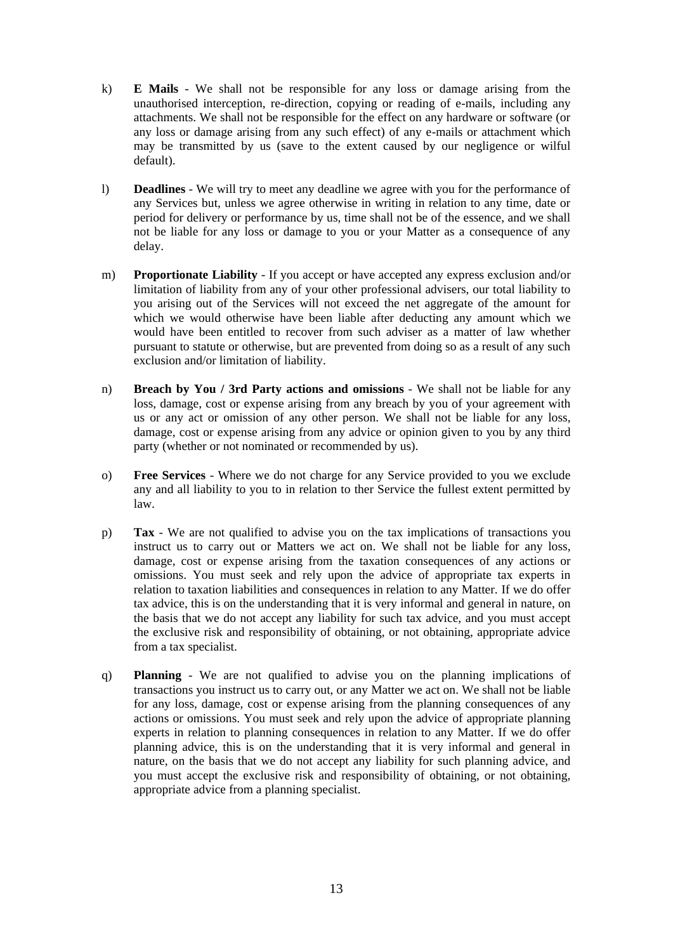- k) **E Mails** We shall not be responsible for any loss or damage arising from the unauthorised interception, re-direction, copying or reading of e-mails, including any attachments. We shall not be responsible for the effect on any hardware or software (or any loss or damage arising from any such effect) of any e-mails or attachment which may be transmitted by us (save to the extent caused by our negligence or wilful default).
- l) **Deadlines** We will try to meet any deadline we agree with you for the performance of any Services but, unless we agree otherwise in writing in relation to any time, date or period for delivery or performance by us, time shall not be of the essence, and we shall not be liable for any loss or damage to you or your Matter as a consequence of any delay.
- m) **Proportionate Liability** If you accept or have accepted any express exclusion and/or limitation of liability from any of your other professional advisers, our total liability to you arising out of the Services will not exceed the net aggregate of the amount for which we would otherwise have been liable after deducting any amount which we would have been entitled to recover from such adviser as a matter of law whether pursuant to statute or otherwise, but are prevented from doing so as a result of any such exclusion and/or limitation of liability.
- n) **Breach by You / 3rd Party actions and omissions** We shall not be liable for any loss, damage, cost or expense arising from any breach by you of your agreement with us or any act or omission of any other person. We shall not be liable for any loss, damage, cost or expense arising from any advice or opinion given to you by any third party (whether or not nominated or recommended by us).
- o) **Free Services** Where we do not charge for any Service provided to you we exclude any and all liability to you to in relation to ther Service the fullest extent permitted by law.
- p) **Tax** We are not qualified to advise you on the tax implications of transactions you instruct us to carry out or Matters we act on. We shall not be liable for any loss, damage, cost or expense arising from the taxation consequences of any actions or omissions. You must seek and rely upon the advice of appropriate tax experts in relation to taxation liabilities and consequences in relation to any Matter. If we do offer tax advice, this is on the understanding that it is very informal and general in nature, on the basis that we do not accept any liability for such tax advice, and you must accept the exclusive risk and responsibility of obtaining, or not obtaining, appropriate advice from a tax specialist.
- q) **Planning** We are not qualified to advise you on the planning implications of transactions you instruct us to carry out, or any Matter we act on. We shall not be liable for any loss, damage, cost or expense arising from the planning consequences of any actions or omissions. You must seek and rely upon the advice of appropriate planning experts in relation to planning consequences in relation to any Matter. If we do offer planning advice, this is on the understanding that it is very informal and general in nature, on the basis that we do not accept any liability for such planning advice, and you must accept the exclusive risk and responsibility of obtaining, or not obtaining, appropriate advice from a planning specialist.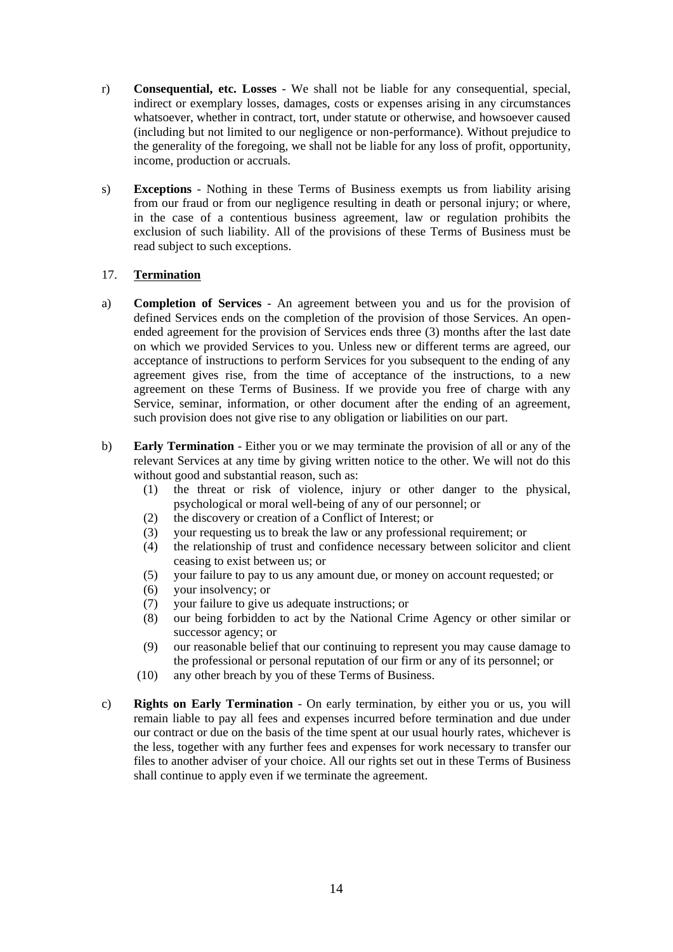- r) **Consequential, etc. Losses** We shall not be liable for any consequential, special, indirect or exemplary losses, damages, costs or expenses arising in any circumstances whatsoever, whether in contract, tort, under statute or otherwise, and howsoever caused (including but not limited to our negligence or non-performance). Without prejudice to the generality of the foregoing, we shall not be liable for any loss of profit, opportunity, income, production or accruals.
- s) **Exceptions** Nothing in these Terms of Business exempts us from liability arising from our fraud or from our negligence resulting in death or personal injury; or where, in the case of a contentious business agreement, law or regulation prohibits the exclusion of such liability. All of the provisions of these Terms of Business must be read subject to such exceptions.

# <span id="page-13-0"></span>17. **Termination**

- a) **Completion of Services** An agreement between you and us for the provision of defined Services ends on the completion of the provision of those Services. An openended agreement for the provision of Services ends three (3) months after the last date on which we provided Services to you. Unless new or different terms are agreed, our acceptance of instructions to perform Services for you subsequent to the ending of any agreement gives rise, from the time of acceptance of the instructions, to a new agreement on these Terms of Business. If we provide you free of charge with any Service, seminar, information, or other document after the ending of an agreement, such provision does not give rise to any obligation or liabilities on our part.
- b) **Early Termination** Either you or we may terminate the provision of all or any of the relevant Services at any time by giving written notice to the other. We will not do this without good and substantial reason, such as:
	- (1) the threat or risk of violence, injury or other danger to the physical, psychological or moral well-being of any of our personnel; or
	- (2) the discovery or creation of a Conflict of Interest; or
	- (3) your requesting us to break the law or any professional requirement; or
	- (4) the relationship of trust and confidence necessary between solicitor and client ceasing to exist between us; or
	- (5) your failure to pay to us any amount due, or money on account requested; or
	- (6) your insolvency; or
	- (7) your failure to give us adequate instructions; or
	- (8) our being forbidden to act by the National Crime Agency or other similar or successor agency; or
	- (9) our reasonable belief that our continuing to represent you may cause damage to the professional or personal reputation of our firm or any of its personnel; or
	- (10) any other breach by you of these Terms of Business.
- c) **Rights on Early Termination** On early termination, by either you or us, you will remain liable to pay all fees and expenses incurred before termination and due under our contract or due on the basis of the time spent at our usual hourly rates, whichever is the less, together with any further fees and expenses for work necessary to transfer our files to another adviser of your choice. All our rights set out in these Terms of Business shall continue to apply even if we terminate the agreement.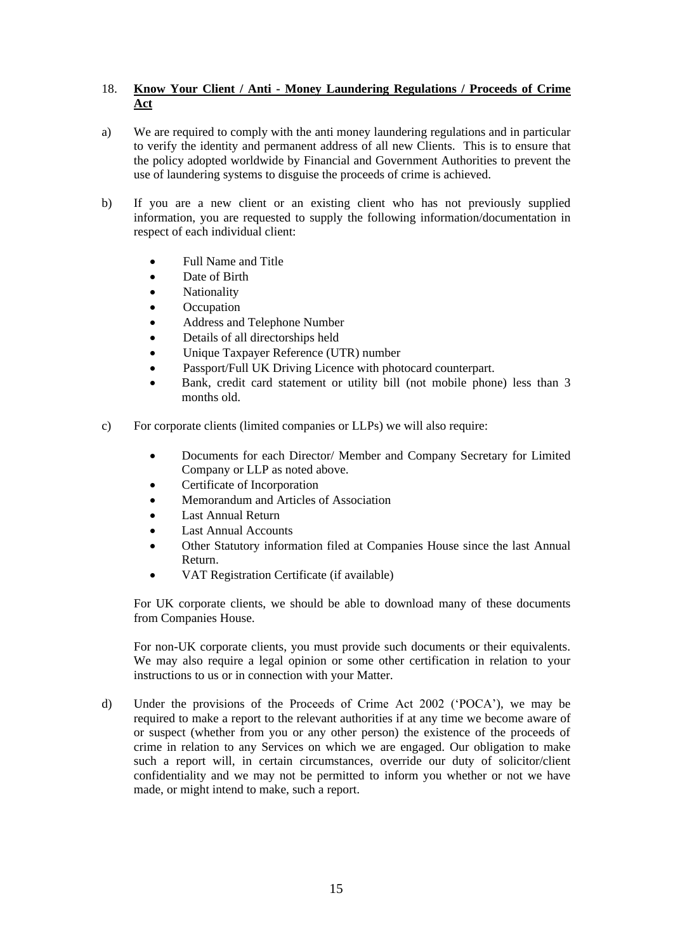# <span id="page-14-0"></span>18. **Know Your Client / Anti - Money Laundering Regulations / Proceeds of Crime Act**

- a) We are required to comply with the anti money laundering regulations and in particular to verify the identity and permanent address of all new Clients. This is to ensure that the policy adopted worldwide by Financial and Government Authorities to prevent the use of laundering systems to disguise the proceeds of crime is achieved.
- b) If you are a new client or an existing client who has not previously supplied information, you are requested to supply the following information/documentation in respect of each individual client:
	- Full Name and Title
	- Date of Birth
	- Nationality
	- Occupation
	- Address and Telephone Number
	- Details of all directorships held
	- Unique Taxpayer Reference (UTR) number
	- Passport/Full UK Driving Licence with photocard counterpart.
	- Bank, credit card statement or utility bill (not mobile phone) less than 3 months old.
- c) For corporate clients (limited companies or LLPs) we will also require:
	- Documents for each Director/ Member and Company Secretary for Limited Company or LLP as noted above.
	- Certificate of Incorporation
	- Memorandum and Articles of Association
	- Last Annual Return
	- Last Annual Accounts
	- Other Statutory information filed at Companies House since the last Annual Return.
	- VAT Registration Certificate (if available)

For UK corporate clients, we should be able to download many of these documents from Companies House.

For non-UK corporate clients, you must provide such documents or their equivalents. We may also require a legal opinion or some other certification in relation to your instructions to us or in connection with your Matter.

d) Under the provisions of the Proceeds of Crime Act 2002 ('POCA'), we may be required to make a report to the relevant authorities if at any time we become aware of or suspect (whether from you or any other person) the existence of the proceeds of crime in relation to any Services on which we are engaged. Our obligation to make such a report will, in certain circumstances, override our duty of solicitor/client confidentiality and we may not be permitted to inform you whether or not we have made, or might intend to make, such a report.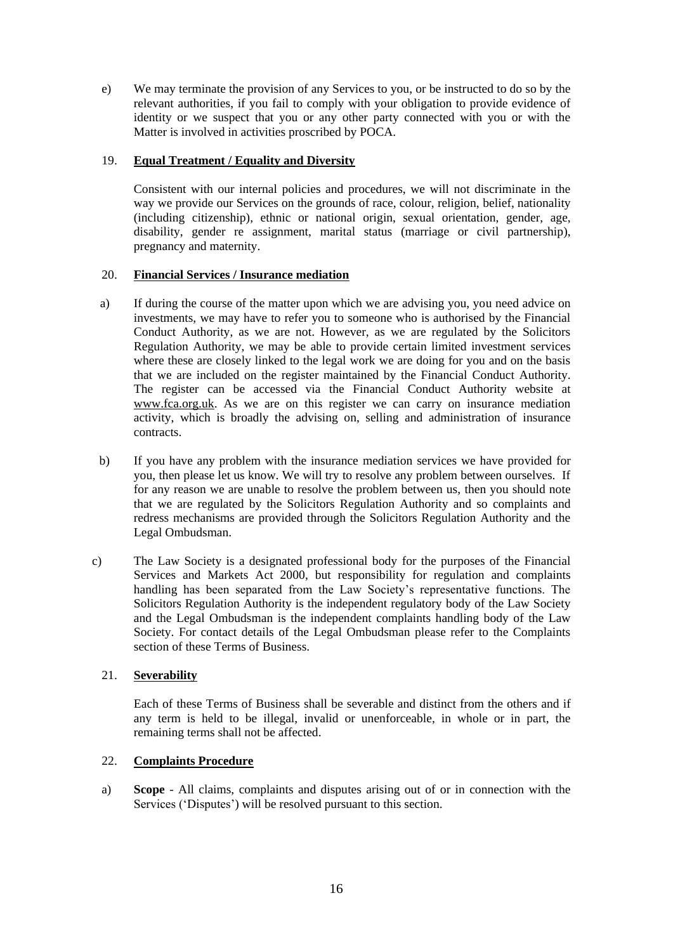e) We may terminate the provision of any Services to you, or be instructed to do so by the relevant authorities, if you fail to comply with your obligation to provide evidence of identity or we suspect that you or any other party connected with you or with the Matter is involved in activities proscribed by POCA.

# <span id="page-15-0"></span>19. **Equal Treatment / Equality and Diversity**

Consistent with our internal policies and procedures, we will not discriminate in the way we provide our Services on the grounds of race, colour, religion, belief, nationality (including citizenship), ethnic or national origin, sexual orientation, gender, age, disability, gender re assignment, marital status (marriage or civil partnership), pregnancy and maternity.

# <span id="page-15-1"></span>20. **Financial Services / Insurance mediation**

- a) If during the course of the matter upon which we are advising you, you need advice on investments, we may have to refer you to someone who is authorised by the Financial Conduct Authority, as we are not. However, as we are regulated by the Solicitors Regulation Authority, we may be able to provide certain limited investment services where these are closely linked to the legal work we are doing for you and on the basis that we are included on the register maintained by the Financial Conduct Authority. The register can be accessed via the Financial Conduct Authority website at [www.fca.org.uk.](http://www.fca.org.uk/) As we are on this register we can carry on insurance mediation activity, which is broadly the advising on, selling and administration of insurance contracts.
- b) If you have any problem with the insurance mediation services we have provided for you, then please let us know. We will try to resolve any problem between ourselves. If for any reason we are unable to resolve the problem between us, then you should note that we are regulated by the Solicitors Regulation Authority and so complaints and redress mechanisms are provided through the Solicitors Regulation Authority and the Legal Ombudsman.
- c) The Law Society is a designated professional body for the purposes of the Financial Services and Markets Act 2000, but responsibility for regulation and complaints handling has been separated from the Law Society's representative functions. The Solicitors Regulation Authority is the independent regulatory body of the Law Society and the Legal Ombudsman is the independent complaints handling body of the Law Society. For contact details of the Legal Ombudsman please refer to the Complaints section of these Terms of Business.

# <span id="page-15-2"></span>21. **Severability**

Each of these Terms of Business shall be severable and distinct from the others and if any term is held to be illegal, invalid or unenforceable, in whole or in part, the remaining terms shall not be affected.

# <span id="page-15-3"></span>22. **Complaints Procedure**

a) **Scope** - All claims, complaints and disputes arising out of or in connection with the Services ('Disputes') will be resolved pursuant to this section.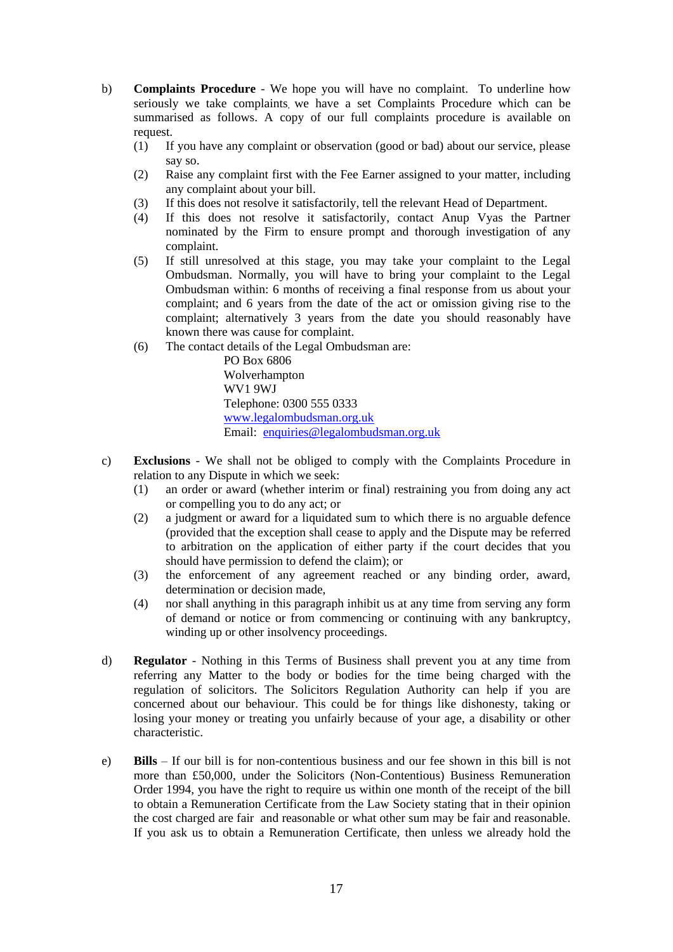- b) **Complaints Procedure** We hope you will have no complaint. To underline how seriously we take complaints, we have a set Complaints Procedure which can be summarised as follows. A copy of our full complaints procedure is available on request.
	- (1) If you have any complaint or observation (good or bad) about our service, please say so.
	- (2) Raise any complaint first with the Fee Earner assigned to your matter, including any complaint about your bill.
	- (3) If this does not resolve it satisfactorily, tell the relevant Head of Department.
	- (4) If this does not resolve it satisfactorily, contact Anup Vyas the Partner nominated by the Firm to ensure prompt and thorough investigation of any complaint.
	- (5) If still unresolved at this stage, you may take your complaint to the Legal Ombudsman. Normally, you will have to bring your complaint to the Legal Ombudsman within: 6 months of receiving a final response from us about your complaint; and 6 years from the date of the act or omission giving rise to the complaint; alternatively 3 years from the date you should reasonably have known there was cause for complaint.
	- (6) The contact details of the Legal Ombudsman are:

PO Box 6806 Wolverhampton WV1 9WJ Telephone: 0300 555 0333 [www.legalombudsman.org.uk](http://www.legalombudsman.org.uk/) Email: [enquiries@legalombudsman.org.uk](mailto:enquiries@legalombudsman.org.uk)

- c) **Exclusions** We shall not be obliged to comply with the Complaints Procedure in relation to any Dispute in which we seek:
	- (1) an order or award (whether interim or final) restraining you from doing any act or compelling you to do any act; or
	- (2) a judgment or award for a liquidated sum to which there is no arguable defence (provided that the exception shall cease to apply and the Dispute may be referred to arbitration on the application of either party if the court decides that you should have permission to defend the claim); or
	- (3) the enforcement of any agreement reached or any binding order, award, determination or decision made,
	- (4) nor shall anything in this paragraph inhibit us at any time from serving any form of demand or notice or from commencing or continuing with any bankruptcy, winding up or other insolvency proceedings.
- d) **Regulator** Nothing in this Terms of Business shall prevent you at any time from referring any Matter to the body or bodies for the time being charged with the regulation of solicitors. The Solicitors Regulation Authority can help if you are concerned about our behaviour. This could be for things like dishonesty, taking or losing your money or treating you unfairly because of your age, a disability or other characteristic.
- e) **Bills** If our bill is for non-contentious business and our fee shown in this bill is not more than £50,000, under the Solicitors (Non-Contentious) Business Remuneration Order 1994, you have the right to require us within one month of the receipt of the bill to obtain a Remuneration Certificate from the Law Society stating that in their opinion the cost charged are fair and reasonable or what other sum may be fair and reasonable. If you ask us to obtain a Remuneration Certificate, then unless we already hold the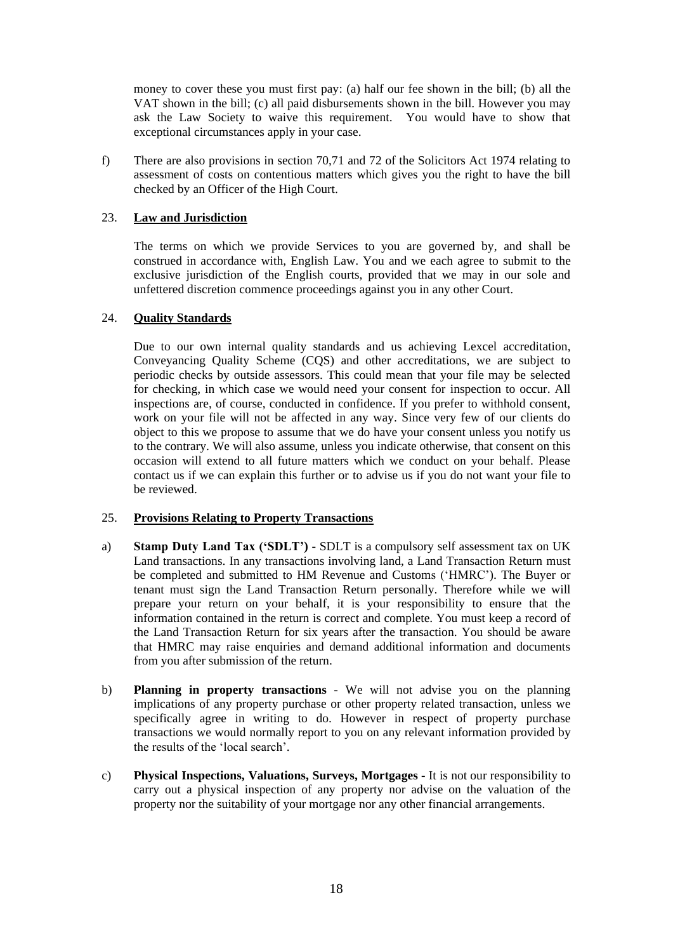money to cover these you must first pay: (a) half our fee shown in the bill; (b) all the VAT shown in the bill; (c) all paid disbursements shown in the bill. However you may ask the Law Society to waive this requirement. You would have to show that exceptional circumstances apply in your case.

f) There are also provisions in section 70,71 and 72 of the Solicitors Act 1974 relating to assessment of costs on contentious matters which gives you the right to have the bill checked by an Officer of the High Court.

### <span id="page-17-0"></span>23. **Law and Jurisdiction**

The terms on which we provide Services to you are governed by, and shall be construed in accordance with, English Law. You and we each agree to submit to the exclusive jurisdiction of the English courts, provided that we may in our sole and unfettered discretion commence proceedings against you in any other Court.

# <span id="page-17-1"></span>24. **Quality Standards**

Due to our own internal quality standards and us achieving Lexcel accreditation, Conveyancing Quality Scheme (CQS) and other accreditations, we are subject to periodic checks by outside assessors. This could mean that your file may be selected for checking, in which case we would need your consent for inspection to occur. All inspections are, of course, conducted in confidence. If you prefer to withhold consent, work on your file will not be affected in any way. Since very few of our clients do object to this we propose to assume that we do have your consent unless you notify us to the contrary. We will also assume, unless you indicate otherwise, that consent on this occasion will extend to all future matters which we conduct on your behalf. Please contact us if we can explain this further or to advise us if you do not want your file to be reviewed.

#### <span id="page-17-2"></span>25. **Provisions Relating to Property Transactions**

- a) **Stamp Duty Land Tax ('SDLT')** SDLT is a compulsory self assessment tax on UK Land transactions. In any transactions involving land, a Land Transaction Return must be completed and submitted to HM Revenue and Customs ('HMRC'). The Buyer or tenant must sign the Land Transaction Return personally. Therefore while we will prepare your return on your behalf, it is your responsibility to ensure that the information contained in the return is correct and complete. You must keep a record of the Land Transaction Return for six years after the transaction. You should be aware that HMRC may raise enquiries and demand additional information and documents from you after submission of the return.
- b) **Planning in property transactions** We will not advise you on the planning implications of any property purchase or other property related transaction, unless we specifically agree in writing to do. However in respect of property purchase transactions we would normally report to you on any relevant information provided by the results of the 'local search'.
- c) **Physical Inspections, Valuations, Surveys, Mortgages** It is not our responsibility to carry out a physical inspection of any property nor advise on the valuation of the property nor the suitability of your mortgage nor any other financial arrangements.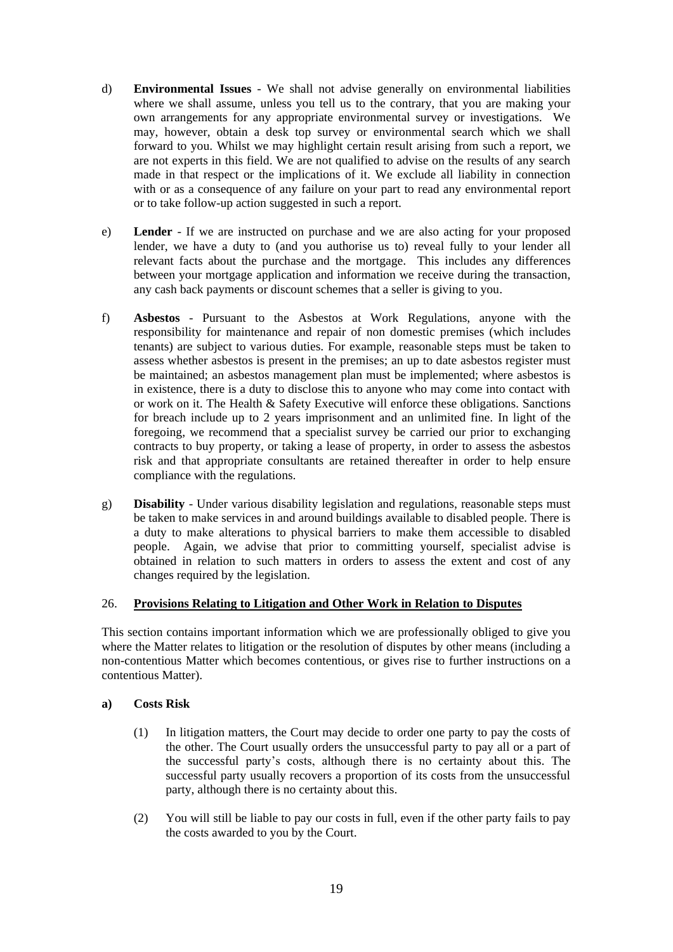- d) **Environmental Issues** We shall not advise generally on environmental liabilities where we shall assume, unless you tell us to the contrary, that you are making your own arrangements for any appropriate environmental survey or investigations. We may, however, obtain a desk top survey or environmental search which we shall forward to you. Whilst we may highlight certain result arising from such a report, we are not experts in this field. We are not qualified to advise on the results of any search made in that respect or the implications of it. We exclude all liability in connection with or as a consequence of any failure on your part to read any environmental report or to take follow-up action suggested in such a report.
- e) **Lender**  If we are instructed on purchase and we are also acting for your proposed lender, we have a duty to (and you authorise us to) reveal fully to your lender all relevant facts about the purchase and the mortgage. This includes any differences between your mortgage application and information we receive during the transaction, any cash back payments or discount schemes that a seller is giving to you.
- f) **Asbestos** Pursuant to the Asbestos at Work Regulations, anyone with the responsibility for maintenance and repair of non domestic premises (which includes tenants) are subject to various duties. For example, reasonable steps must be taken to assess whether asbestos is present in the premises; an up to date asbestos register must be maintained; an asbestos management plan must be implemented; where asbestos is in existence, there is a duty to disclose this to anyone who may come into contact with or work on it. The Health & Safety Executive will enforce these obligations. Sanctions for breach include up to 2 years imprisonment and an unlimited fine. In light of the foregoing, we recommend that a specialist survey be carried our prior to exchanging contracts to buy property, or taking a lease of property, in order to assess the asbestos risk and that appropriate consultants are retained thereafter in order to help ensure compliance with the regulations.
- g) **Disability** Under various disability legislation and regulations, reasonable steps must be taken to make services in and around buildings available to disabled people. There is a duty to make alterations to physical barriers to make them accessible to disabled people. Again, we advise that prior to committing yourself, specialist advise is obtained in relation to such matters in orders to assess the extent and cost of any changes required by the legislation.

#### <span id="page-18-0"></span>26. **Provisions Relating to Litigation and Other Work in Relation to Disputes**

This section contains important information which we are professionally obliged to give you where the Matter relates to litigation or the resolution of disputes by other means (including a non-contentious Matter which becomes contentious, or gives rise to further instructions on a contentious Matter).

#### **a) Costs Risk**

- (1) In litigation matters, the Court may decide to order one party to pay the costs of the other. The Court usually orders the unsuccessful party to pay all or a part of the successful party's costs, although there is no certainty about this. The successful party usually recovers a proportion of its costs from the unsuccessful party, although there is no certainty about this.
- (2) You will still be liable to pay our costs in full, even if the other party fails to pay the costs awarded to you by the Court.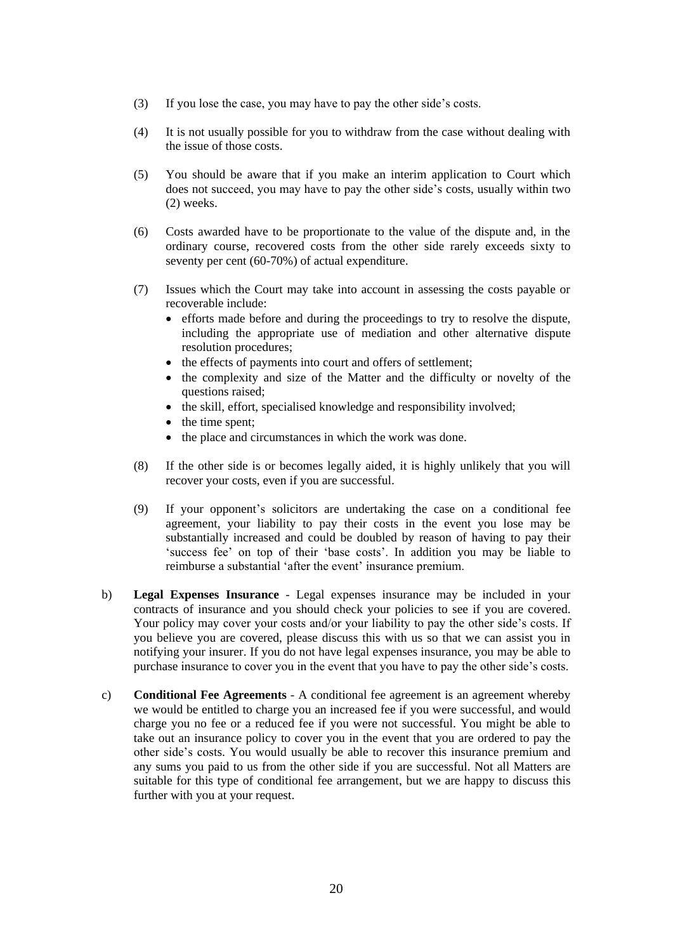- (3) If you lose the case, you may have to pay the other side's costs.
- (4) It is not usually possible for you to withdraw from the case without dealing with the issue of those costs.
- (5) You should be aware that if you make an interim application to Court which does not succeed, you may have to pay the other side's costs, usually within two (2) weeks.
- (6) Costs awarded have to be proportionate to the value of the dispute and, in the ordinary course, recovered costs from the other side rarely exceeds sixty to seventy per cent (60-70%) of actual expenditure.
- (7) Issues which the Court may take into account in assessing the costs payable or recoverable include:
	- efforts made before and during the proceedings to try to resolve the dispute, including the appropriate use of mediation and other alternative dispute resolution procedures;
	- the effects of payments into court and offers of settlement;
	- the complexity and size of the Matter and the difficulty or novelty of the questions raised;
	- the skill, effort, specialised knowledge and responsibility involved;
	- the time spent;
	- the place and circumstances in which the work was done.
- (8) If the other side is or becomes legally aided, it is highly unlikely that you will recover your costs, even if you are successful.
- (9) If your opponent's solicitors are undertaking the case on a conditional fee agreement, your liability to pay their costs in the event you lose may be substantially increased and could be doubled by reason of having to pay their 'success fee' on top of their 'base costs'. In addition you may be liable to reimburse a substantial 'after the event' insurance premium.
- b) **Legal Expenses Insurance** Legal expenses insurance may be included in your contracts of insurance and you should check your policies to see if you are covered. Your policy may cover your costs and/or your liability to pay the other side's costs. If you believe you are covered, please discuss this with us so that we can assist you in notifying your insurer. If you do not have legal expenses insurance, you may be able to purchase insurance to cover you in the event that you have to pay the other side's costs.
- c) **Conditional Fee Agreements** A conditional fee agreement is an agreement whereby we would be entitled to charge you an increased fee if you were successful, and would charge you no fee or a reduced fee if you were not successful. You might be able to take out an insurance policy to cover you in the event that you are ordered to pay the other side's costs. You would usually be able to recover this insurance premium and any sums you paid to us from the other side if you are successful. Not all Matters are suitable for this type of conditional fee arrangement, but we are happy to discuss this further with you at your request.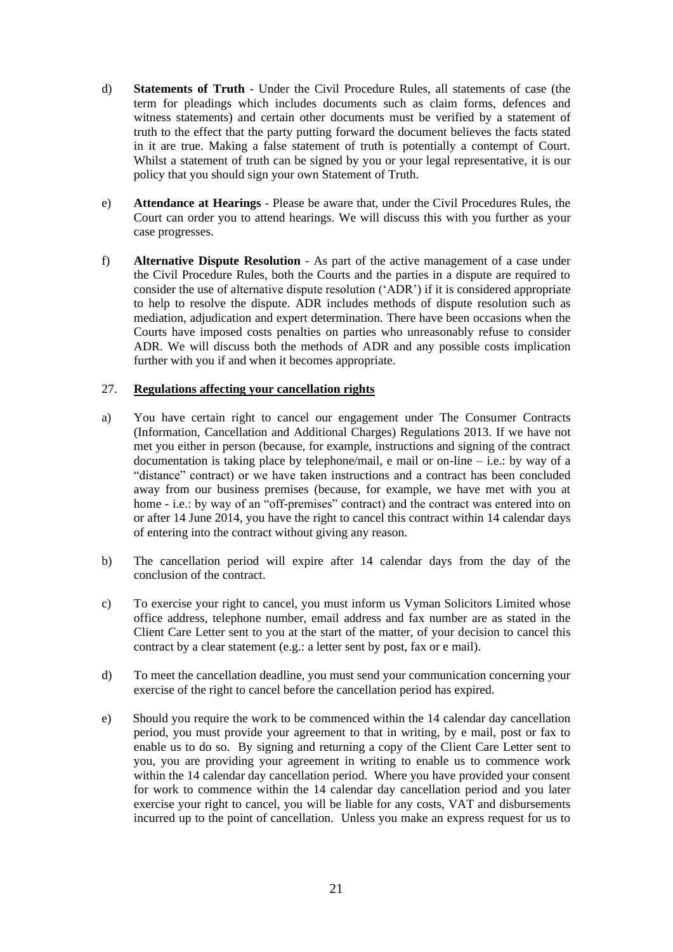- d) **Statements of Truth** Under the Civil Procedure Rules, all statements of case (the term for pleadings which includes documents such as claim forms, defences and witness statements) and certain other documents must be verified by a statement of truth to the effect that the party putting forward the document believes the facts stated in it are true. Making a false statement of truth is potentially a contempt of Court. Whilst a statement of truth can be signed by you or your legal representative, it is our policy that you should sign your own Statement of Truth.
- e) **Attendance at Hearings** Please be aware that, under the Civil Procedures Rules, the Court can order you to attend hearings. We will discuss this with you further as your case progresses.
- f) **Alternative Dispute Resolution** As part of the active management of a case under the Civil Procedure Rules, both the Courts and the parties in a dispute are required to consider the use of alternative dispute resolution ('ADR') if it is considered appropriate to help to resolve the dispute. ADR includes methods of dispute resolution such as mediation, adjudication and expert determination. There have been occasions when the Courts have imposed costs penalties on parties who unreasonably refuse to consider ADR. We will discuss both the methods of ADR and any possible costs implication further with you if and when it becomes appropriate.

#### <span id="page-20-0"></span>27. **Regulations affecting your cancellation rights**

- a) You have certain right to cancel our engagement under The Consumer Contracts (Information, Cancellation and Additional Charges) Regulations 2013. If we have not met you either in person (because, for example, instructions and signing of the contract documentation is taking place by telephone/mail, e mail or on-line – i.e.: by way of a "distance" contract) or we have taken instructions and a contract has been concluded away from our business premises (because, for example, we have met with you at home - i.e.: by way of an "off-premises" contract) and the contract was entered into on or after 14 June 2014, you have the right to cancel this contract within 14 calendar days of entering into the contract without giving any reason.
- b) The cancellation period will expire after 14 calendar days from the day of the conclusion of the contract.
- c) To exercise your right to cancel, you must inform us Vyman Solicitors Limited whose office address, telephone number, email address and fax number are as stated in the Client Care Letter sent to you at the start of the matter, of your decision to cancel this contract by a clear statement (e.g.: a letter sent by post, fax or e mail).
- d) To meet the cancellation deadline, you must send your communication concerning your exercise of the right to cancel before the cancellation period has expired.
- e) Should you require the work to be commenced within the 14 calendar day cancellation period, you must provide your agreement to that in writing, by e mail, post or fax to enable us to do so. By signing and returning a copy of the Client Care Letter sent to you, you are providing your agreement in writing to enable us to commence work within the 14 calendar day cancellation period. Where you have provided your consent for work to commence within the 14 calendar day cancellation period and you later exercise your right to cancel, you will be liable for any costs, VAT and disbursements incurred up to the point of cancellation. Unless you make an express request for us to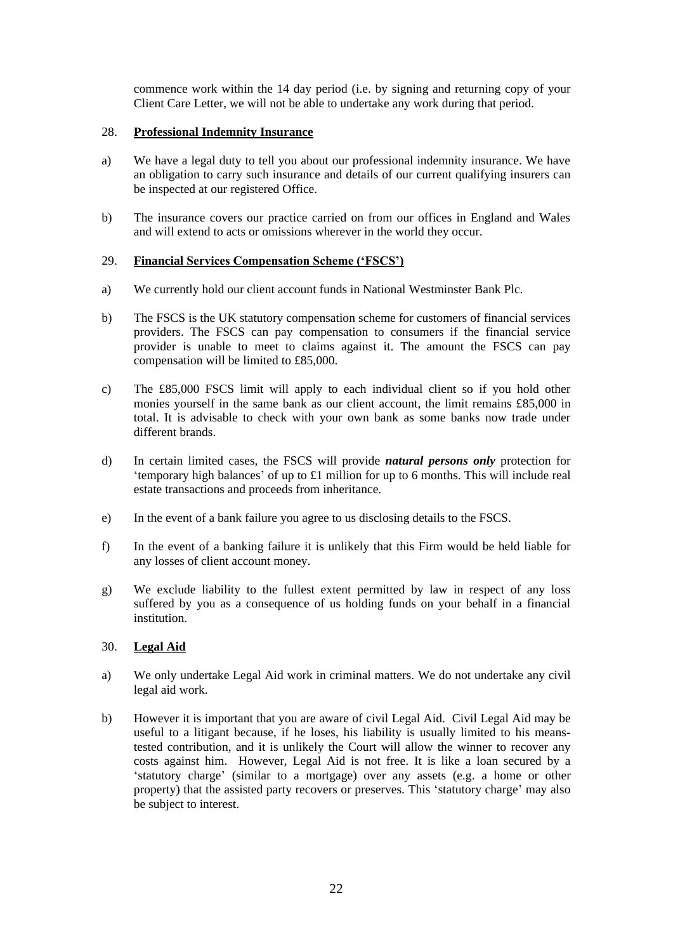commence work within the 14 day period (i.e. by signing and returning copy of your Client Care Letter, we will not be able to undertake any work during that period.

### <span id="page-21-0"></span>28. **Professional Indemnity Insurance**

- a) We have a legal duty to tell you about our professional indemnity insurance. We have an obligation to carry such insurance and details of our current qualifying insurers can be inspected at our registered Office.
- b) The insurance covers our practice carried on from our offices in England and Wales and will extend to acts or omissions wherever in the world they occur.

# <span id="page-21-1"></span>29. **Financial Services Compensation Scheme ('FSCS')**

- a) We currently hold our client account funds in National Westminster Bank Plc.
- b) The FSCS is the UK statutory compensation scheme for customers of financial services providers. The FSCS can pay compensation to consumers if the financial service provider is unable to meet to claims against it. The amount the FSCS can pay compensation will be limited to £85,000.
- c) The £85,000 FSCS limit will apply to each individual client so if you hold other monies yourself in the same bank as our client account, the limit remains £85,000 in total. It is advisable to check with your own bank as some banks now trade under different brands.
- d) In certain limited cases, the FSCS will provide *natural persons only* protection for 'temporary high balances' of up to £1 million for up to 6 months. This will include real estate transactions and proceeds from inheritance.
- e) In the event of a bank failure you agree to us disclosing details to the FSCS.
- f) In the event of a banking failure it is unlikely that this Firm would be held liable for any losses of client account money.
- g) We exclude liability to the fullest extent permitted by law in respect of any loss suffered by you as a consequence of us holding funds on your behalf in a financial institution.

#### <span id="page-21-2"></span>30. **Legal Aid**

- a) We only undertake Legal Aid work in criminal matters. We do not undertake any civil legal aid work.
- b) However it is important that you are aware of civil Legal Aid. Civil Legal Aid may be useful to a litigant because, if he loses, his liability is usually limited to his meanstested contribution, and it is unlikely the Court will allow the winner to recover any costs against him. However, Legal Aid is not free. It is like a loan secured by a 'statutory charge' (similar to a mortgage) over any assets (e.g. a home or other property) that the assisted party recovers or preserves. This 'statutory charge' may also be subject to interest.